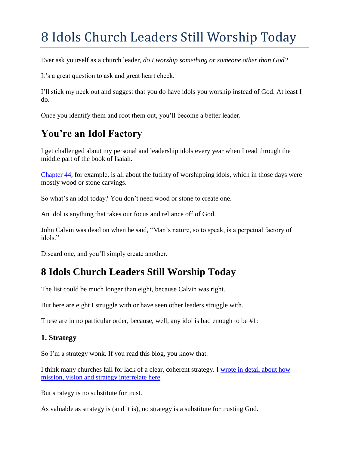# 8 Idols Church Leaders Still Worship Today

Ever ask yourself as a church leader, *do I worship something or someone other than God?*

It's a great question to ask and great heart check.

I'll stick my neck out and suggest that you do have idols you worship instead of God. At least I do.

Once you identify them and root them out, you'll become a better leader.

# **You're an Idol Factory**

I get challenged about my personal and leadership idols every year when I read through the middle part of the book of Isaiah.

[Chapter 44,](https://www.bible.com/bible/116/isa.44) for example, is all about the futility of worshipping idols, which in those days were mostly wood or stone carvings.

So what's an idol today? You don't need wood or stone to create one.

An idol is anything that takes our focus and reliance off of God.

John Calvin was dead on when he said, "Man's nature, so to speak, is a perpetual factory of idols"

Discard one, and you'll simply create another.

# **8 Idols Church Leaders Still Worship Today**

The list could be much longer than eight, because Calvin was right.

But here are eight I struggle with or have seen other leaders struggle with.

These are in no particular order, because, well, any idol is bad enough to be #1:

# **1. Strategy**

So I'm a strategy wonk. If you read this blog, you know that.

I think many churches fail for lack of a clear, coherent strategy. I [wrote in detail about how](http://careynieuwhof.com/2013/12/how-to-get-your-church-passionate-about-your-mission/) [mission, vision and strategy interrelate here.](http://careynieuwhof.com/2013/12/how-to-get-your-church-passionate-about-your-mission/)

But strategy is no substitute for trust.

As valuable as strategy is (and it is), no strategy is a substitute for trusting God.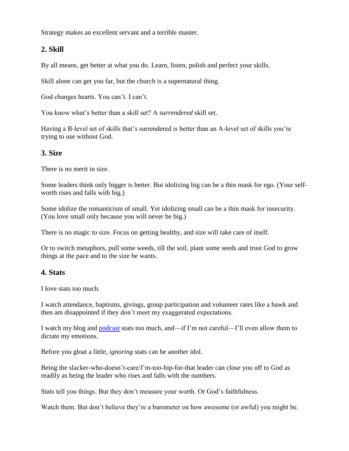Strategy makes an excellent servant and a terrible master.

# **2. Skill**

By all means, get better at what you do. Learn, listen, polish and perfect your skills.

Skill alone can get you far, but the church is a supernatural thing.

God changes hearts. You can't. I can't.

You know what's better than a skill set? A *surrendered* skill set.

Having a B-level set of skills that's surrendered is better than an A-level set of skills you're trying to use without God.

#### **3. Size**

There is no merit in size.

Some leaders think only bigger is better. But idolizing big can be a thin mask for ego. (Your selfworth rises and falls with big.)

Some idolize the romanticism of small. Yet idolizing small can be a thin mask for insecurity. (You love small only because you will never be big.)

There is no magic to size. Focus on getting healthy, and size will take care of itself.

Or to switch metaphors, pull some weeds, till the soil, plant some seeds and trust God to grow things at the pace and to the size he wants.

#### **4. Stats**

I love stats too much.

I watch attendance, baptisms, givings, group participation and volunteer rates like a hawk and then am disappointed if they don't meet my exaggerated expectations.

I watch my blog and [podcast](https://itunes.apple.com/us/podcast/carey-nieuwhof-leadership/id912753163?mt=2) stats too much, and—if I'm not careful—I'll even allow them to dictate my emotions.

Before you gloat a little, *ignoring* stats can be another idol.

Being the slacker-who-doesn't-care/I'm-too-hip-for-that leader can close you off to God as readily as being the leader who rises and falls with the numbers.

Stats tell you things. But they don't measure your worth. Or God's faithfulness.

Watch them. But don't believe they're a barometer on how awesome (or awful) you might be.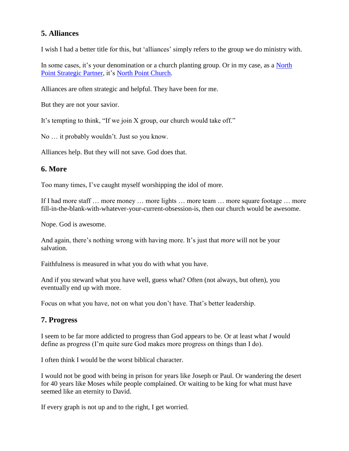# **5. Alliances**

I wish I had a better title for this, but 'alliances' simply refers to the group we do ministry with.

In some cases, it's your denomination or a church planting group. Or in my case, as a North [Point Strategic Partner,](http://northpointpartners.org/) it's [North Point Church.](http://northpoint.org/)

Alliances are often strategic and helpful. They have been for me.

But they are not your savior.

It's tempting to think, "If we join X group, our church would take off."

No … it probably wouldn't. Just so you know.

Alliances help. But they will not save. God does that.

# **6. More**

Too many times, I've caught myself worshipping the idol of more.

If I had more staff … more money … more lights … more team … more square footage … more fill-in-the-blank-with-whatever-your-current-obsession-is, then our church would be awesome.

Nope. God is awesome.

And again, there's nothing wrong with having more. It's just that *more* will not be your salvation.

Faithfulness is measured in what you do with what you have.

And if you steward what you have well, guess what? Often (not always, but often), you eventually end up with more.

Focus on what you have, not on what you don't have. That's better leadership.

# **7. Progress**

I seem to be far more addicted to progress than God appears to be. Or at least what *I* would define as progress (I'm quite sure God makes more progress on things than I do).

I often think I would be the worst biblical character.

I would not be good with being in prison for years like Joseph or Paul. Or wandering the desert for 40 years like Moses while people complained. Or waiting to be king for what must have seemed like an eternity to David.

If every graph is not up and to the right, I get worried.